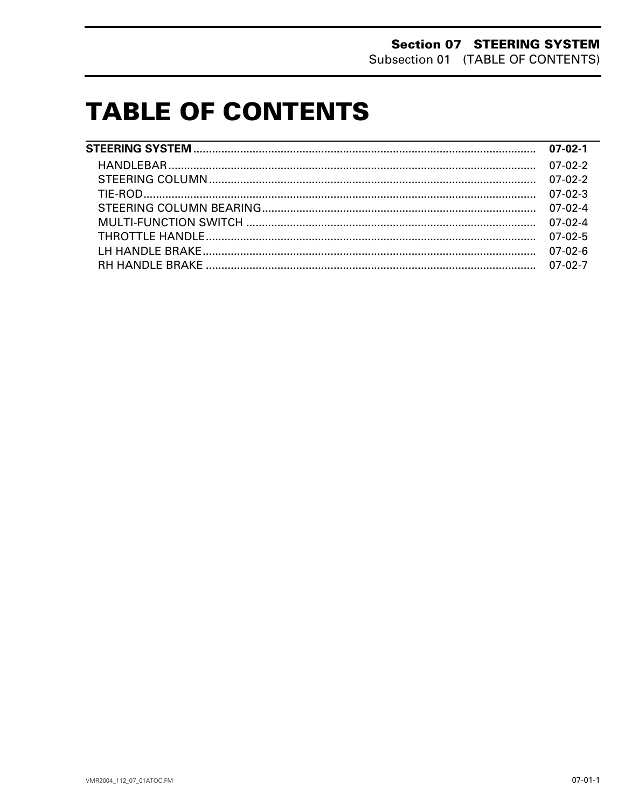# **TABLE OF CONTENTS**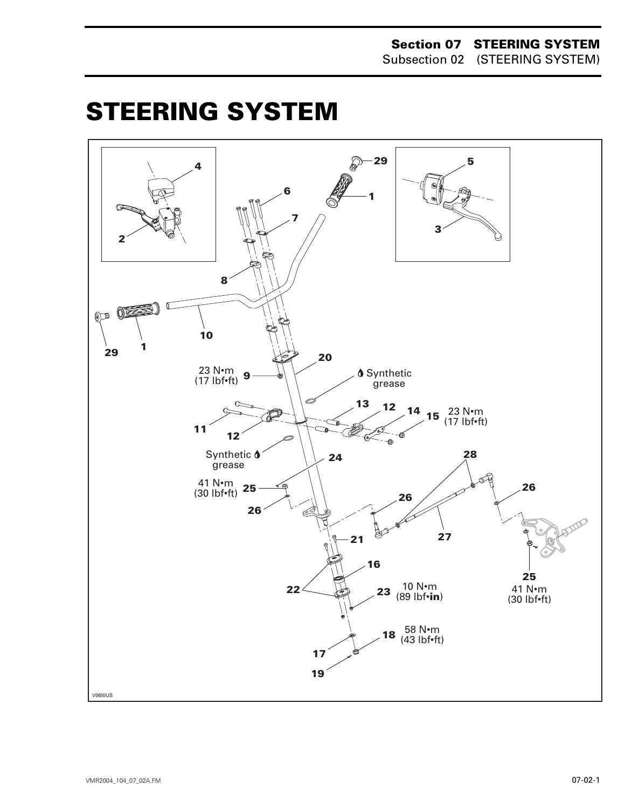#### **Section 07 STEERING SYSTEM** Subsection 02 (STEERING SYSTEM)

# <span id="page-1-0"></span>**STEERING SYSTEM 0**

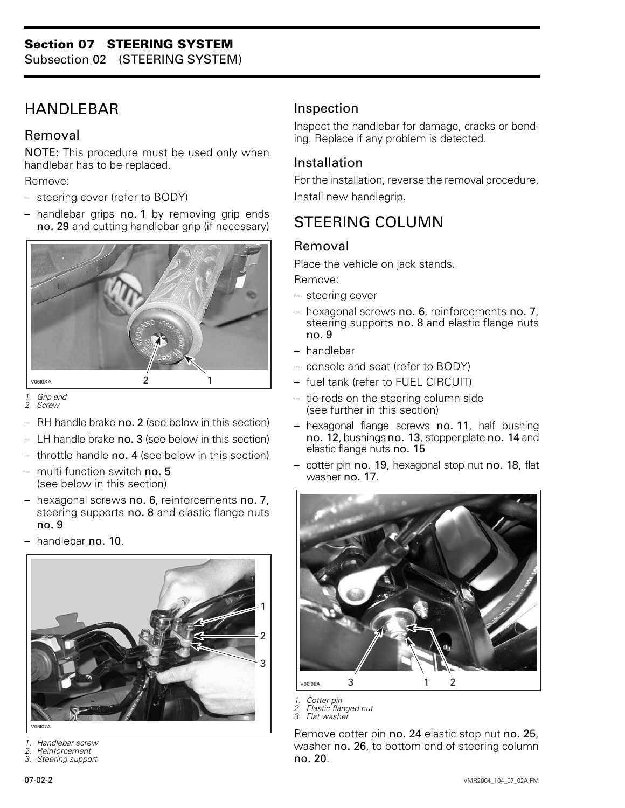Subsection 02 (STEERING SYSTEM)

# <span id="page-2-0"></span>HANDLEBAR

#### Removal

NOTE: This procedure must be used only when handlebar has to be replaced.

Remove:

- steering cover (refer to BODY)
- handlebar grips no. 1 by removing grip ends no. 29 and cutting handlebar grip (if necessary)



*1. Grip end 2. Screw*

- RH handle brake no. 2 (see below in this section)
- LH handle brake no. 3 (see below in this section)
- throttle handle no. 4 (see below in this section)
- multi-function switch no. 5 (see below in this section)
- hexagonal screws no. 6, reinforcements no. 7, steering supports no. 8 and elastic flange nuts no. 9
- handlebar no. 10.



V06107A

- *1. Handlebar screw*
- *2. Reinforcement*
- *3. Steering support*

#### Inspection

Inspect the handlebar for damage, cracks or bending. Replace if any problem is detected.

#### Installation

For the installation, reverse the removal procedure. Install new handlegrip.

# STEERING COLUMN

#### Removal

Place the vehicle on jack stands. Remove:

- steering cover
- hexagonal screws no. 6, reinforcements no. 7, steering supports no. 8 and elastic flange nuts no. 9
- handlebar
- console and seat (refer to BODY)
- fuel tank (refer to FUEL CIRCUIT)
- tie-rods on the steering column side (see further in this section)
- hexagonal flange screws no. 11, half bushing no. 12, bushings no. 13, stopper plate no. 14 and elastic flange nuts no. 15
- cotter pin no. 19, hexagonal stop nut no. 18, flat washer no. 17.



- *1. Cotter pin*
- *2. Elastic flanged nut 3. Flat washer*

Remove cotter pin no. 24 elastic stop nut no. 25, washer no. 26, to bottom end of steering column no. 20.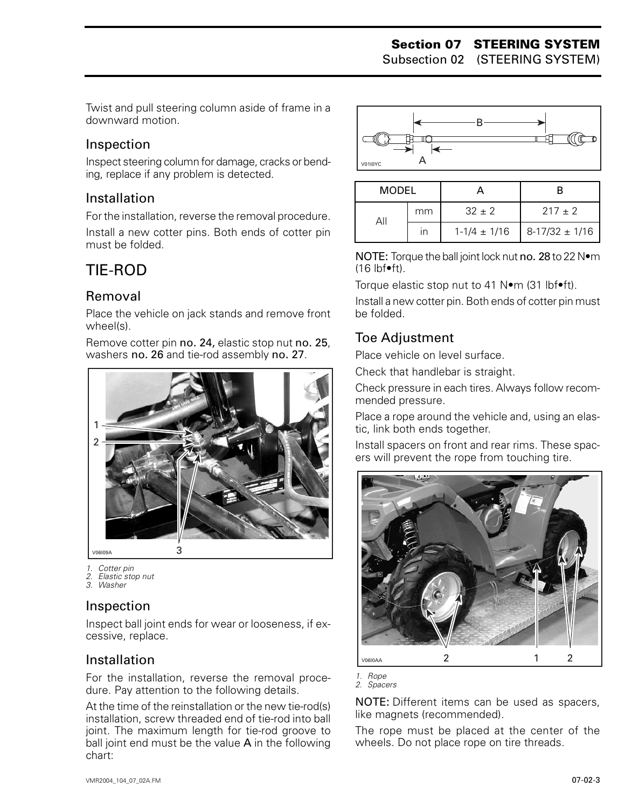Subsection 02 (STEERING SYSTEM)

Twist and pull steering column aside of frame in a downward motion.

#### Inspection

Inspect steering column for damage, cracks or bending, replace if any problem is detected.

#### Installation

For the installation, reverse the removal procedure. Install a new cotter pins. Both ends of cotter pin must be folded.

# <span id="page-3-0"></span>TIE-ROD

## Removal

Place the vehicle on jack stands and remove front wheel(s).

Remove cotter pin no. 24, elastic stop nut no. 25, washers no. 26 and tie-rod assembly no. 27.



*1. Cotter pin*

*2. Elastic stop nut 3. Washer*

#### Inspection

Inspect ball joint ends for wear or looseness, if excessive, replace.

#### Installation

For the installation, reverse the removal procedure. Pay attention to the following details.

At the time of the reinstallation or the new tie-rod(s) installation, screw threaded end of tie-rod into ball joint. The maximum length for tie-rod groove to ball joint end must be the value A in the following chart:



| MODEL |    |                  |                    |
|-------|----|------------------|--------------------|
|       | mm | $32 \pm 2$       | $217 + 2$          |
|       | ın | $1-1/4 \pm 1/16$ | $8-17/32 \pm 1/16$ |

NOTE: Torque the ball joint lock nut no. 28 to 22 N•m (16 lbf•ft).

Torque elastic stop nut to 41 N•m (31 lbf•ft).

Install a new cotter pin. Both ends of cotter pin must be folded.

## Toe Adjustment

Place vehicle on level surface.

Check that handlebar is straight.

Check pressure in each tires. Always follow recommended pressure.

Place a rope around the vehicle and, using an elastic, link both ends together.

Install spacers on front and rear rims. These spacers will prevent the rope from touching tire.



*1. Rope 2. Spacers*

NOTE: Different items can be used as spacers, like magnets (recommended).

The rope must be placed at the center of the wheels. Do not place rope on tire threads.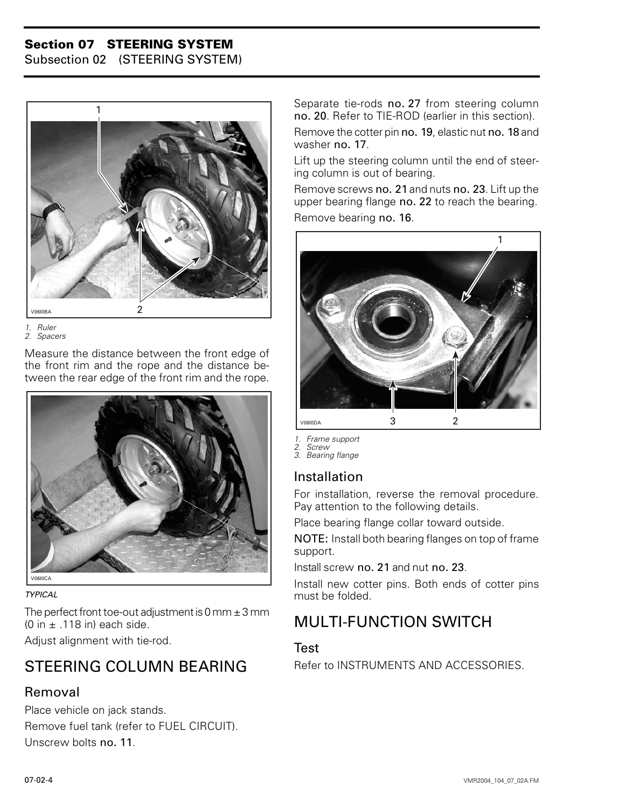#### **Section 07 STEERING SYSTEM**

Subsection 02 (STEERING SYSTEM)



*1. Ruler 2. Spacers*

Measure the distance between the front edge of the front rim and the rope and the distance between the rear edge of the front rim and the rope.



*TYPICAL*

The perfect front toe-out adjustment is 0 mm  $\pm$  3 mm (0 in  $\pm$  .118 in) each side.

Adjust alignment with tie-rod.

# <span id="page-4-0"></span>STEERING COLUMN BEARING

#### Removal

Place vehicle on jack stands. Remove fuel tank (refer to FUEL CIRCUIT). Unscrew bolts no. 11.

Separate tie-rods no. 27 from steering column no. 20. Refer to TIE-ROD (earlier in this section).

Remove the cotter pin no. 19, elastic nut no. 18 and washer no. 17.

Lift up the steering column until the end of steering column is out of bearing.

Remove screws no. 21 and nuts no. 23. Lift up the upper bearing flange no. 22 to reach the bearing. Remove bearing no. 16.



*1. Frame support*

*2. Screw 3. Bearing flange*

## Installation

For installation, reverse the removal procedure. Pay attention to the following details.

Place bearing flange collar toward outside.

NOTE: Install both bearing flanges on top of frame support.

Install screw no. 21 and nut no. 23.

Install new cotter pins. Both ends of cotter pins must be folded.

# MULTI-FUNCTION SWITCH

#### Test

Refer to INSTRUMENTS AND ACCESSORIES.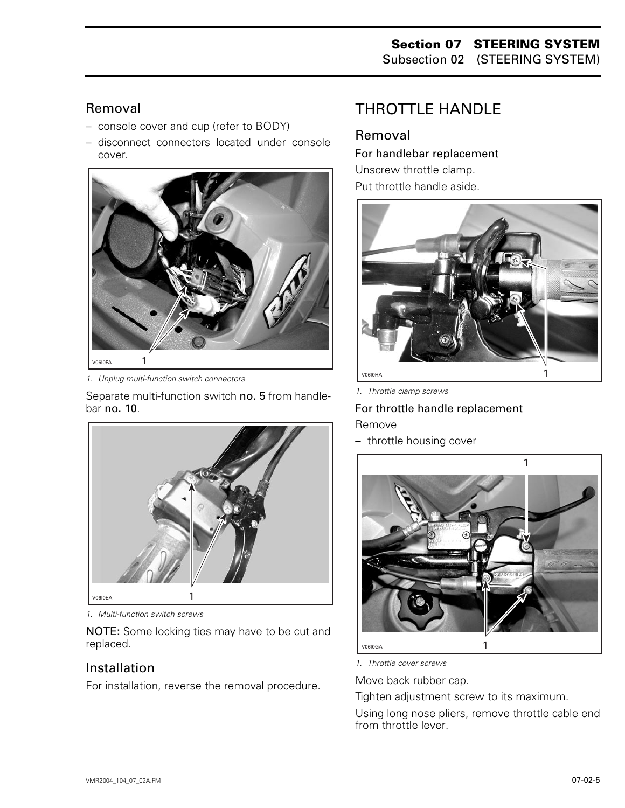#### Removal

- console cover and cup (refer to BODY)
- disconnect connectors located under console cover.



*1. Unplug multi-function switch connectors*

Separate multi-function switch no. 5 from handlebar no. 10.



*1. Multi-function switch screws*

NOTE: Some locking ties may have to be cut and replaced.

#### Installation

For installation, reverse the removal procedure.

# <span id="page-5-0"></span>THROTTLE HANDLE

## Removal

For handlebar replacement Unscrew throttle clamp. Put throttle handle aside.



*1. Throttle clamp screws*

For throttle handle replacement Remove

– throttle housing cover



*1. Throttle cover screws*

Move back rubber cap.

Tighten adjustment screw to its maximum.

Using long nose pliers, remove throttle cable end from throttle lever.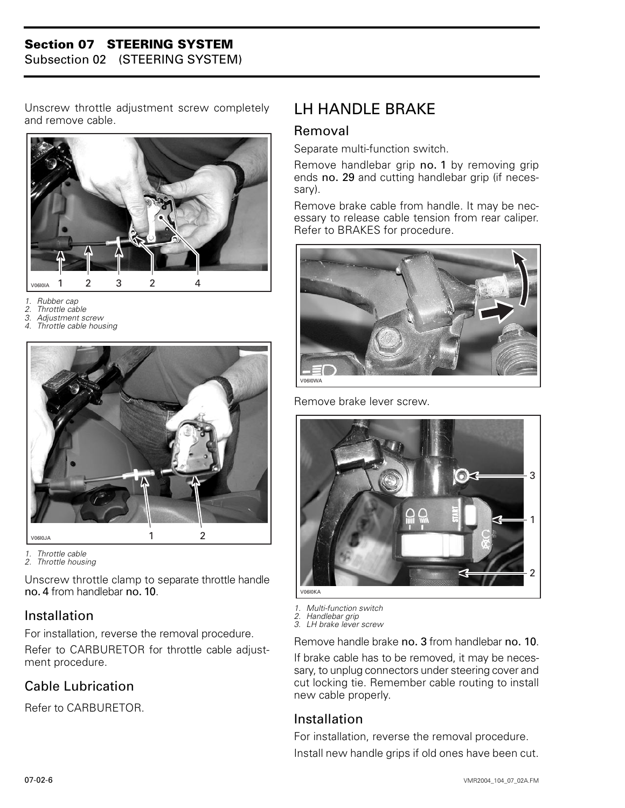#### **Section 07 STEERING SYSTEM**

Subsection 02 (STEERING SYSTEM)

Unscrew throttle adjustment screw completely and remove cable.



- *1. Rubber cap*
- *2. Throttle cable*
- 
- *3. Adjustment screw 4. Throttle cable housing*



*1. Throttle cable 2. Throttle housing*

Unscrew throttle clamp to separate throttle handle no. 4 from handlebar no. 10.

#### Installation

For installation, reverse the removal procedure. Refer to CARBURETOR for throttle cable adjustment procedure.

## Cable Lubrication

Refer to CARBURETOR.

## <span id="page-6-0"></span>LH HANDLE BRAKE

### Removal

Separate multi-function switch.

Remove handlebar grip no. 1 by removing grip ends no. 29 and cutting handlebar grip (if necessary).

Remove brake cable from handle. It may be necessary to release cable tension from rear caliper. Refer to BRAKES for procedure.



Remove brake lever screw.



- *1. Multi-function switch*
- *2. Handlebar grip*
- *3. LH brake lever screw*

Remove handle brake no. 3 from handlebar no. 10.

If brake cable has to be removed, it may be necessary, to unplug connectors under steering cover and cut locking tie. Remember cable routing to install new cable properly.

#### Installation

For installation, reverse the removal procedure. Install new handle grips if old ones have been cut.